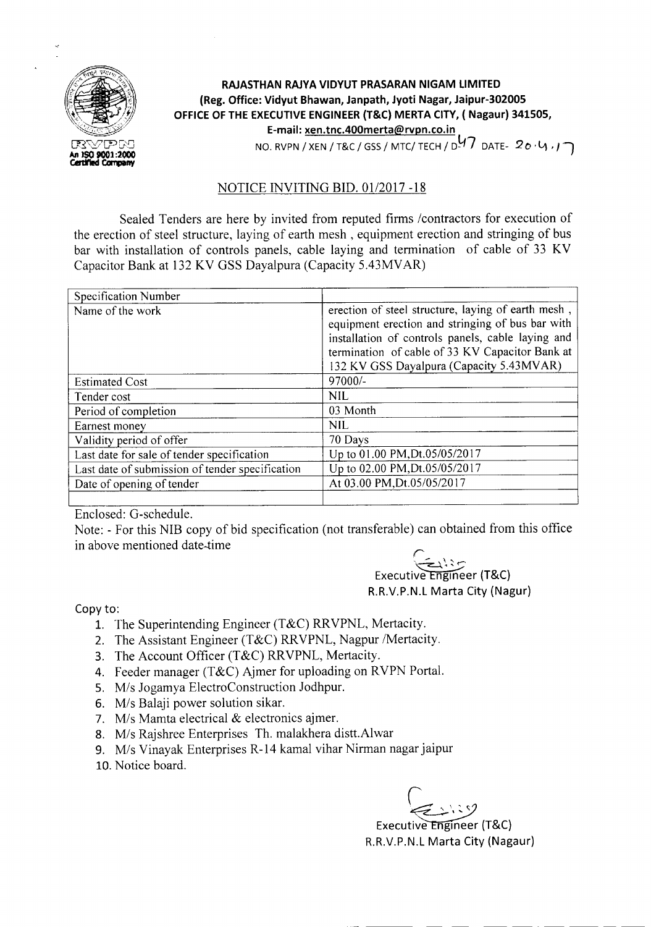

## **RAJASTHAN RAJYA VIDYUT PRASARAN NIGAM LIMITED (Reg. Office: Vidyut Bhawan, Janpath, Jyoti Nagar, Jaipur-302005 OFFICE OF THE EXECUTIVEENGINEER (T&C) MERTA CITY, ( Nagaur) 341505, E-mail: xen.tnc.400merta@rvpn.co.in** NO. RVPN / XEN / T&C / GSS/ MTC/ TECH / D~t7 DATE- 20' V) *<sup>r</sup> ,* ·l

## NOTICE INVITING BID. 01/2017 -18

Sealed Tenders are here by invited from reputed firms *Icontractors* for execution of the erection of steel structure, laying of earth mesh, equipment erection and stringing of bus bar with installation of controls panels, cable laying and termination of cable of 33 KV Capacitor Bank at 132 KV GSS Dayalpura (Capacity 5.43MVAR)

| Specification Number                            |                                                                                                                                                                                                                                                            |
|-------------------------------------------------|------------------------------------------------------------------------------------------------------------------------------------------------------------------------------------------------------------------------------------------------------------|
| Name of the work                                | erection of steel structure, laying of earth mesh,<br>equipment erection and stringing of bus bar with<br>installation of controls panels, cable laying and<br>termination of cable of 33 KV Capacitor Bank at<br>132 KV GSS Dayalpura (Capacity 5.43MVAR) |
| <b>Estimated Cost</b>                           | 97000/-                                                                                                                                                                                                                                                    |
| Tender cost                                     | <b>NIL</b>                                                                                                                                                                                                                                                 |
| Period of completion                            | 03 Month                                                                                                                                                                                                                                                   |
| Earnest money                                   | <b>NIL</b>                                                                                                                                                                                                                                                 |
| Validity period of offer                        | 70 Days                                                                                                                                                                                                                                                    |
| Last date for sale of tender specification      | Up to 01.00 PM, Dt.05/05/2017                                                                                                                                                                                                                              |
| Last date of submission of tender specification | Up to 02.00 PM, Dt.05/05/2017                                                                                                                                                                                                                              |
| Date of opening of tender                       | At 03.00 PM, Dt.05/05/2017                                                                                                                                                                                                                                 |
|                                                 |                                                                                                                                                                                                                                                            |

Enclosed: G-schedule.

Note: - For this NIB copy of bid specification (not transferable) can obtained from this office in above mentioned date-time

 $-$  -  $-$ 

 $\subset$  ,  $\setminus$  ,  $\subset$ Executive Engineer (T&C) R.R.V.P.N.L Marta City (Nagur)

Copy to:

- 1. The Superintending Engineer (T&C) RRVPNL, Mertacity.
- 2. The Assistant Engineer (T&C) RRVPNL, Nagpur /Mertacity.
- 3. The Account Officer (T&C) RRVPNL, Mertacity.
- 4. Feeder manager (T&C) Ajmer for uploading on RVPN Portal.
- *5. Mis* Jogamya ElectroConstruction Jodhpur.
- *6. Mis* Balaji power solution sikar.
- *7. Mis* Mamta electrical & electronics ajmer.
- *8. Mis* Rajshree Enterprises Th. malakhera distt.Alwar
- *9. Mis* Vinayak Enterprises R-14 kamal vihar Nirman nagar jaipur
- 10.Notice board.

 $\varphi_{\!\scriptscriptstyle\! L}$ 

Executive Engineer (T&C) R.R.V.P.N.L Marta City (Nagaur)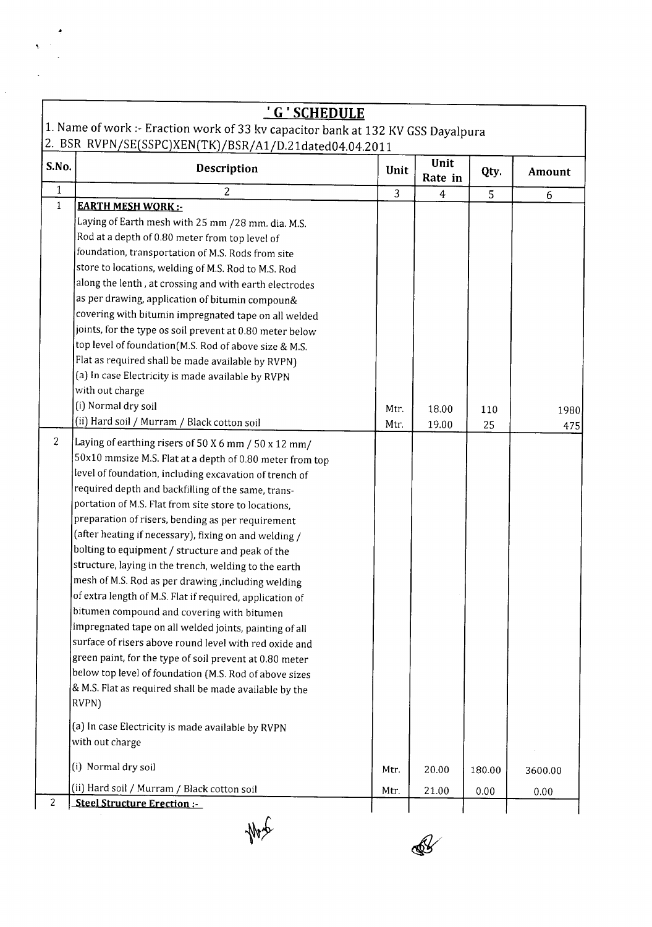|                | <u>' G ' SCHEDULE</u><br>1. Name of work :- Eraction work of 33 kv capacitor bank at 132 KV GSS Dayalpura                                                                                                                                                                                                                                                                                                                                                                                                                                                                                                                                                                                                                                                                                                                                                                                                                                                                                       |      |                 |        |         |
|----------------|-------------------------------------------------------------------------------------------------------------------------------------------------------------------------------------------------------------------------------------------------------------------------------------------------------------------------------------------------------------------------------------------------------------------------------------------------------------------------------------------------------------------------------------------------------------------------------------------------------------------------------------------------------------------------------------------------------------------------------------------------------------------------------------------------------------------------------------------------------------------------------------------------------------------------------------------------------------------------------------------------|------|-----------------|--------|---------|
|                | 2. BSR RVPN/SE(SSPC)XEN(TK)/BSR/A1/D.21dated04.04.2011                                                                                                                                                                                                                                                                                                                                                                                                                                                                                                                                                                                                                                                                                                                                                                                                                                                                                                                                          |      |                 |        |         |
| S.No.          | <b>Description</b>                                                                                                                                                                                                                                                                                                                                                                                                                                                                                                                                                                                                                                                                                                                                                                                                                                                                                                                                                                              | Unit | Unit<br>Rate in | Qty.   | Amount  |
| $\mathbf{1}$   | 2                                                                                                                                                                                                                                                                                                                                                                                                                                                                                                                                                                                                                                                                                                                                                                                                                                                                                                                                                                                               | 3    | 4               | 5      | 6       |
| $\mathbf{1}$   | <b>EARTH MESH WORK:-</b>                                                                                                                                                                                                                                                                                                                                                                                                                                                                                                                                                                                                                                                                                                                                                                                                                                                                                                                                                                        |      |                 |        |         |
|                | Laying of Earth mesh with 25 mm /28 mm. dia. M.S.                                                                                                                                                                                                                                                                                                                                                                                                                                                                                                                                                                                                                                                                                                                                                                                                                                                                                                                                               |      |                 |        |         |
|                | Rod at a depth of 0.80 meter from top level of                                                                                                                                                                                                                                                                                                                                                                                                                                                                                                                                                                                                                                                                                                                                                                                                                                                                                                                                                  |      |                 |        |         |
|                | foundation, transportation of M.S. Rods from site                                                                                                                                                                                                                                                                                                                                                                                                                                                                                                                                                                                                                                                                                                                                                                                                                                                                                                                                               |      |                 |        |         |
|                | store to locations, welding of M.S. Rod to M.S. Rod                                                                                                                                                                                                                                                                                                                                                                                                                                                                                                                                                                                                                                                                                                                                                                                                                                                                                                                                             |      |                 |        |         |
|                | along the lenth, at crossing and with earth electrodes                                                                                                                                                                                                                                                                                                                                                                                                                                                                                                                                                                                                                                                                                                                                                                                                                                                                                                                                          |      |                 |        |         |
|                | as per drawing, application of bitumin compoun&                                                                                                                                                                                                                                                                                                                                                                                                                                                                                                                                                                                                                                                                                                                                                                                                                                                                                                                                                 |      |                 |        |         |
|                | covering with bitumin impregnated tape on all welded                                                                                                                                                                                                                                                                                                                                                                                                                                                                                                                                                                                                                                                                                                                                                                                                                                                                                                                                            |      |                 |        |         |
|                | joints, for the type os soil prevent at 0.80 meter below                                                                                                                                                                                                                                                                                                                                                                                                                                                                                                                                                                                                                                                                                                                                                                                                                                                                                                                                        |      |                 |        |         |
|                | top level of foundation(M.S. Rod of above size & M.S.                                                                                                                                                                                                                                                                                                                                                                                                                                                                                                                                                                                                                                                                                                                                                                                                                                                                                                                                           |      |                 |        |         |
|                | Flat as required shall be made available by RVPN)                                                                                                                                                                                                                                                                                                                                                                                                                                                                                                                                                                                                                                                                                                                                                                                                                                                                                                                                               |      |                 |        |         |
|                | (a) In case Electricity is made available by RVPN                                                                                                                                                                                                                                                                                                                                                                                                                                                                                                                                                                                                                                                                                                                                                                                                                                                                                                                                               |      |                 |        |         |
|                | with out charge                                                                                                                                                                                                                                                                                                                                                                                                                                                                                                                                                                                                                                                                                                                                                                                                                                                                                                                                                                                 |      |                 |        |         |
|                | (i) Normal dry soil                                                                                                                                                                                                                                                                                                                                                                                                                                                                                                                                                                                                                                                                                                                                                                                                                                                                                                                                                                             | Mtr. | 18.00           | 110    | 1980    |
|                | (ii) Hard soil / Murram / Black cotton soil                                                                                                                                                                                                                                                                                                                                                                                                                                                                                                                                                                                                                                                                                                                                                                                                                                                                                                                                                     | Mtr. | 19.00           | 25     | 475     |
| $\overline{c}$ | Laying of earthing risers of 50 X 6 mm / 50 x 12 mm/<br>50x10 mmsize M.S. Flat at a depth of 0.80 meter from top<br>level of foundation, including excavation of trench of<br>required depth and backfilling of the same, trans-<br>portation of M.S. Flat from site store to locations,<br>preparation of risers, bending as per requirement<br>(after heating if necessary), fixing on and welding /<br>bolting to equipment / structure and peak of the<br>structure, laying in the trench, welding to the earth<br>mesh of M.S. Rod as per drawing, including welding<br>of extra length of M.S. Flat if required, application of<br>bitumen compound and covering with bitumen<br>impregnated tape on all welded joints, painting of all<br>surface of risers above round level with red oxide and<br>green paint, for the type of soil prevent at 0.80 meter<br>below top level of foundation (M.S. Rod of above sizes<br>& M.S. Flat as required shall be made available by the<br>RVPN) |      |                 |        |         |
|                | (a) In case Electricity is made available by RVPN<br>with out charge                                                                                                                                                                                                                                                                                                                                                                                                                                                                                                                                                                                                                                                                                                                                                                                                                                                                                                                            |      |                 |        |         |
|                | (i) Normal dry soil                                                                                                                                                                                                                                                                                                                                                                                                                                                                                                                                                                                                                                                                                                                                                                                                                                                                                                                                                                             | Mtr. | 20.00           | 180.00 | 3600.00 |
|                | (ii) Hard soil / Murram / Black cotton soil                                                                                                                                                                                                                                                                                                                                                                                                                                                                                                                                                                                                                                                                                                                                                                                                                                                                                                                                                     | Mtr. | 21.00           | 0.00   | 0.00    |
| $\overline{c}$ | Steel Structure Erection :-                                                                                                                                                                                                                                                                                                                                                                                                                                                                                                                                                                                                                                                                                                                                                                                                                                                                                                                                                                     |      |                 |        |         |

Aby

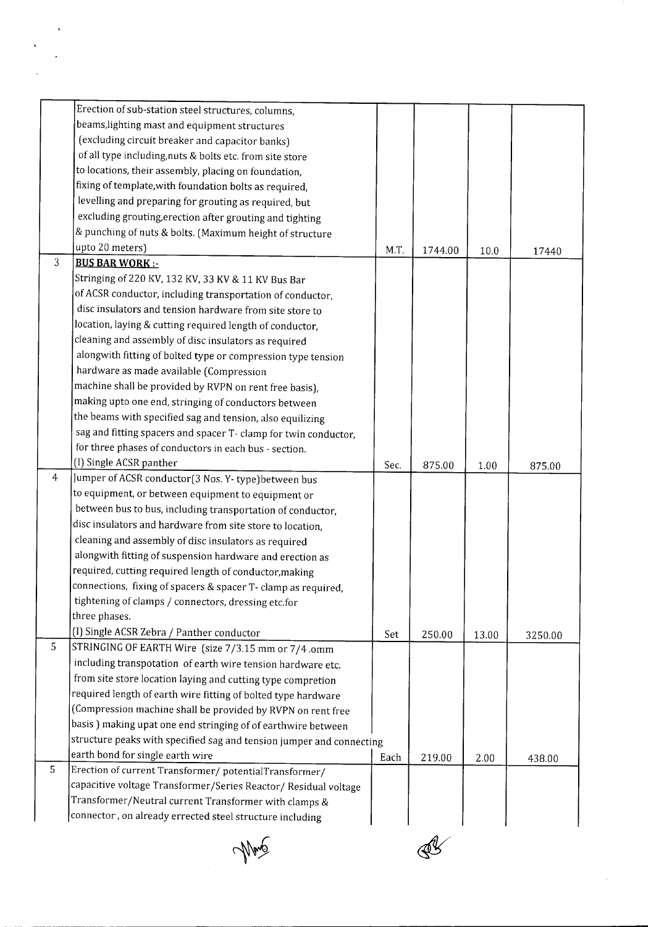|                | Erection of sub-station steel structures, columns,                   |      |         |       |         |
|----------------|----------------------------------------------------------------------|------|---------|-------|---------|
|                | beams, lighting mast and equipment structures                        |      |         |       |         |
|                | (excluding circuit breaker and capacitor banks)                      |      |         |       |         |
|                | of all type including, nuts & bolts etc. from site store             |      |         |       |         |
|                | to locations, their assembly, placing on foundation,                 |      |         |       |         |
|                | fixing of template, with foundation bolts as required,               |      |         |       |         |
|                | levelling and preparing for grouting as required, but                |      |         |       |         |
|                | excluding grouting, erection after grouting and tighting             |      |         |       |         |
|                | & punching of nuts & bolts. (Maximum height of structure             |      |         |       |         |
|                | upto 20 meters)                                                      | M.T. | 1744.00 | 10.0  | 17440   |
| $\overline{3}$ | <b>BUS BAR WORK:-</b>                                                |      |         |       |         |
|                | Stringing of 220 KV, 132 KV, 33 KV & 11 KV Bus Bar                   |      |         |       |         |
|                | of ACSR conductor, including transportation of conductor,            |      |         |       |         |
|                | disc insulators and tension hardware from site store to              |      |         |       |         |
|                | location, laying & cutting required length of conductor,             |      |         |       |         |
|                | cleaning and assembly of disc insulators as required                 |      |         |       |         |
|                | alongwith fitting of bolted type or compression type tension         |      |         |       |         |
|                | hardware as made available (Compression                              |      |         |       |         |
|                | machine shall be provided by RVPN on rent free basis),               |      |         |       |         |
|                | making upto one end, stringing of conductors between                 |      |         |       |         |
|                | the beams with specified sag and tension, also equilizing            |      |         |       |         |
|                | sag and fitting spacers and spacer T- clamp for twin conductor,      |      |         |       |         |
|                | for three phases of conductors in each bus - section.                |      |         |       |         |
|                | (I) Single ACSR panther                                              | Sec. | 875.00  |       |         |
| 4              | Jumper of ACSR conductor(3 Nos. Y-type)between bus                   |      |         | 1.00  | 875.00  |
|                | to equipment, or between equipment to equipment or                   |      |         |       |         |
|                | between bus to bus, including transportation of conductor,           |      |         |       |         |
|                | disc insulators and hardware from site store to location,            |      |         |       |         |
|                | cleaning and assembly of disc insulators as required                 |      |         |       |         |
|                | alongwith fitting of suspension hardware and erection as             |      |         |       |         |
|                | required, cutting required length of conductor, making               |      |         |       |         |
|                |                                                                      |      |         |       |         |
|                | connections, fixing of spacers & spacer T- clamp as required,        |      |         |       |         |
|                | tightening of clamps / connectors, dressing etc.for<br>three phases. |      |         |       |         |
|                |                                                                      |      |         |       |         |
| 5              | (I) Single ACSR Zebra / Panther conductor                            | Set  | 250.00  | 13.00 | 3250.00 |
|                | STRINGING OF EARTH Wire (size 7/3.15 mm or 7/4 .omm                  |      |         |       |         |
|                | including transpotation of earth wire tension hardware etc.          |      |         |       |         |
|                | from site store location laying and cutting type compretion          |      |         |       |         |
|                | required length of earth wire fitting of bolted type hardware        |      |         |       |         |
|                | (Compression machine shall be provided by RVPN on rent free          |      |         |       |         |
|                | basis) making upat one end stringing of of earthwire between         |      |         |       |         |
|                | structure peaks with specified sag and tension jumper and connecting |      |         |       |         |
|                | earth bond for single earth wire                                     | Each | 219.00  | 2.00  | 438.00  |
| 5              | Erection of current Transformer/ potentialTransformer/               |      |         |       |         |
|                | capacitive voltage Transformer/Series Reactor/ Residual voltage      |      |         |       |         |
|                | Transformer/Neutral current Transformer with clamps &                |      |         |       |         |
|                | connector, on already errected steel structure including             |      |         |       |         |

 $\ddot{\phantom{0}}$ 

Mang



 $\ddot{\phantom{a}}$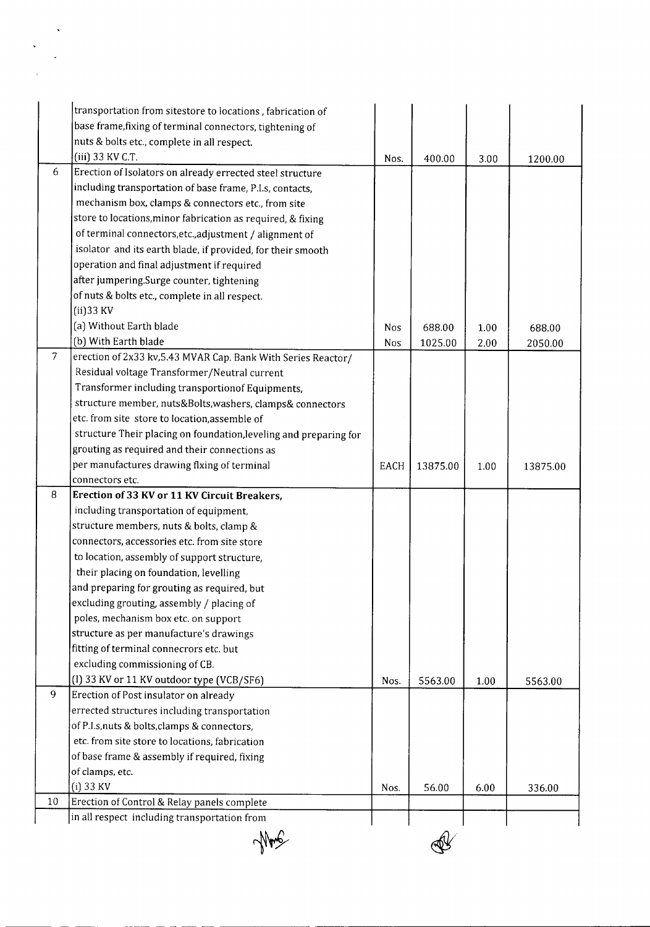|                | transportation from sitestore to locations, fabrication of        |      |          |      |          |
|----------------|-------------------------------------------------------------------|------|----------|------|----------|
|                | base frame, fixing of terminal connectors, tightening of          |      |          |      |          |
|                | nuts & bolts etc., complete in all respect.                       |      |          |      |          |
|                | (iii) 33 KV C.T.                                                  | Nos. | 400.00   | 3.00 | 1200.00  |
| 6              | Erection of Isolators on already errected steel structure         |      |          |      |          |
|                | including transportation of base frame, P.I.s, contacts,          |      |          |      |          |
|                | mechanism box, clamps & connectors etc., from site                |      |          |      |          |
|                | store to locations, minor fabrication as required, & fixing       |      |          |      |          |
|                | of terminal connectors, etc., adjustment / alignment of           |      |          |      |          |
|                | isolator and its earth blade, if provided, for their smooth       |      |          |      |          |
|                | operation and final adjustment if required                        |      |          |      |          |
|                | after jumpering.Surge counter, tightening                         |      |          |      |          |
|                | of nuts & bolts etc., complete in all respect.                    |      |          |      |          |
|                | $(ii)$ 33 KV                                                      |      |          |      |          |
|                | (a) Without Earth blade                                           | Nos  | 688.00   |      |          |
|                | (b) With Earth blade                                              |      |          | 1.00 | 688.00   |
| $\overline{7}$ | erection of 2x33 kv, 5.43 MVAR Cap. Bank With Series Reactor/     | Nos  | 1025.00  | 2.00 | 2050.00  |
|                | Residual voltage Transformer/Neutral current                      |      |          |      |          |
|                | Transformer including transportionof Equipments,                  |      |          |      |          |
|                |                                                                   |      |          |      |          |
|                | structure member, nuts&Bolts, washers, clamps& connectors         |      |          |      |          |
|                | etc. from site store to location, assemble of                     |      |          |      |          |
|                | structure Their placing on foundation, leveling and preparing for |      |          |      |          |
|                | grouting as required and their connections as                     |      |          |      |          |
|                | per manufactures drawing flxing of terminal                       | EACH | 13875.00 | 1.00 | 13875.00 |
|                | connectors etc.                                                   |      |          |      |          |
| 8              | Erection of 33 KV or 11 KV Circuit Breakers,                      |      |          |      |          |
|                | including transportation of equipment,                            |      |          |      |          |
|                | structure members, nuts & bolts, clamp &                          |      |          |      |          |
|                | connectors, accessories etc. from site store                      |      |          |      |          |
|                | to location, assembly of support structure,                       |      |          |      |          |
|                | their placing on foundation, levelling                            |      |          |      |          |
|                | and preparing for grouting as required, but                       |      |          |      |          |
|                | excluding grouting, assembly / placing of                         |      |          |      |          |
|                | poles, mechanism box etc. on support                              |      |          |      |          |
|                | structure as per manufacture's drawings                           |      |          |      |          |
|                | fitting of terminal connecrors etc. but                           |      |          |      |          |
|                | excluding commissioning of CB.                                    |      |          |      |          |
|                | (I) 33 KV or 11 KV outdoor type (VCB/SF6)                         | Nos. | 5563.00  | 1.00 | 5563.00  |
| 9              | Erection of Post insulator on already                             |      |          |      |          |
|                | errected structures including transportation                      |      |          |      |          |
|                | of P.I.s, nuts & bolts, clamps & connectors,                      |      |          |      |          |
|                | etc. from site store to locations, fabrication                    |      |          |      |          |
|                | of base frame & assembly if required, fixing                      |      |          |      |          |
|                | of clamps, etc.                                                   |      |          |      |          |
|                | $(i)$ 33 KV                                                       | Nos. | 56.00    | 6.00 | 336.00   |
| 10             | Erection of Control & Relay panels complete                       |      |          |      |          |
|                | in all respect including transportation from                      |      |          |      |          |

Mong

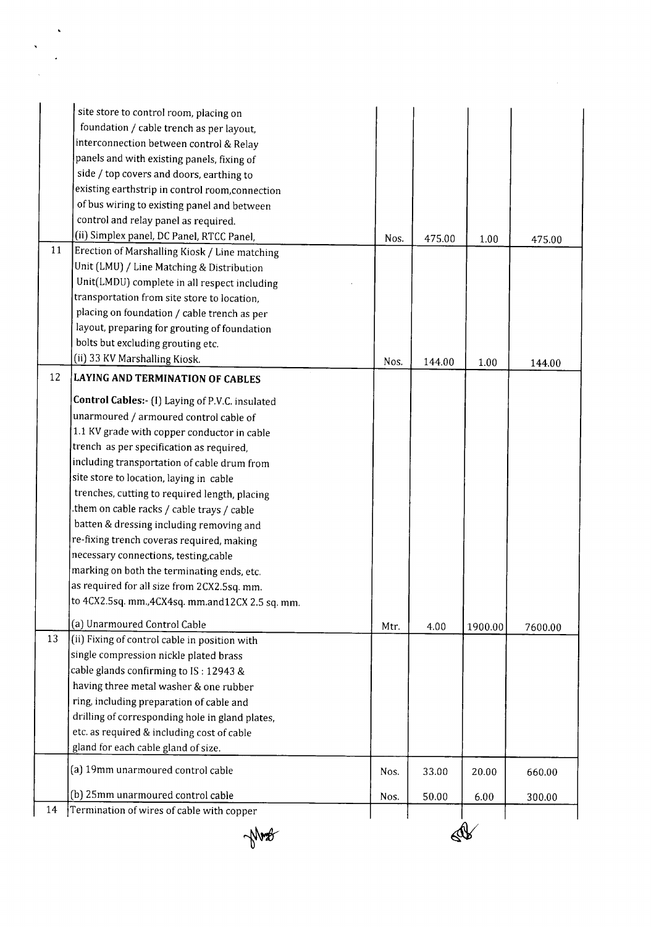|    | site store to control room, placing on           |      |        |         |         |
|----|--------------------------------------------------|------|--------|---------|---------|
|    | foundation / cable trench as per layout,         |      |        |         |         |
|    | interconnection between control & Relay          |      |        |         |         |
|    | panels and with existing panels, fixing of       |      |        |         |         |
|    | side / top covers and doors, earthing to         |      |        |         |         |
|    | existing earthstrip in control room, connection  |      |        |         |         |
|    | of bus wiring to existing panel and between      |      |        |         |         |
|    | control and relay panel as required.             |      |        |         |         |
|    | (ii) Simplex panel, DC Panel, RTCC Panel,        | Nos. | 475.00 | 1.00    |         |
| 11 | Erection of Marshalling Kiosk / Line matching    |      |        |         | 475.00  |
|    | Unit (LMU) / Line Matching & Distribution        |      |        |         |         |
|    | Unit(LMDU) complete in all respect including     |      |        |         |         |
|    | transportation from site store to location,      |      |        |         |         |
|    | placing on foundation / cable trench as per      |      |        |         |         |
|    | layout, preparing for grouting of foundation     |      |        |         |         |
|    | bolts but excluding grouting etc.                |      |        |         |         |
|    | (ii) 33 KV Marshalling Kiosk.                    | Nos. | 144.00 | 1.00    |         |
| 12 | <b>LAYING AND TERMINATION OF CABLES</b>          |      |        |         | 144.00  |
|    | Control Cables:- (I) Laying of P.V.C. insulated  |      |        |         |         |
|    | unarmoured / armoured control cable of           |      |        |         |         |
|    | 1.1 KV grade with copper conductor in cable      |      |        |         |         |
|    | trench as per specification as required,         |      |        |         |         |
|    | including transportation of cable drum from      |      |        |         |         |
|    | site store to location, laying in cable          |      |        |         |         |
|    | trenches, cutting to required length, placing    |      |        |         |         |
|    | them on cable racks / cable trays / cable.       |      |        |         |         |
|    | batten & dressing including removing and         |      |        |         |         |
|    | re-fixing trench coveras required, making        |      |        |         |         |
|    | necessary connections, testing, cable            |      |        |         |         |
|    | marking on both the terminating ends, etc.       |      |        |         |         |
|    | as required for all size from 2CX2.5sq. mm.      |      |        |         |         |
|    | to 4CX2.5sq. mm., 4CX4sq. mm.and12CX 2.5 sq. mm. |      |        |         |         |
|    | (a) Unarmoured Control Cable                     | Mtr. | 4.00   | 1900.00 | 7600.00 |
| 13 | (ii) Fixing of control cable in position with    |      |        |         |         |
|    | single compression nickle plated brass           |      |        |         |         |
|    | cable glands confirming to IS: 12943 &           |      |        |         |         |
|    | having three metal washer & one rubber           |      |        |         |         |
|    | ring, including preparation of cable and         |      |        |         |         |
|    | drilling of corresponding hole in gland plates,  |      |        |         |         |
|    | etc. as required & including cost of cable       |      |        |         |         |
|    | gland for each cable gland of size.              |      |        |         |         |
|    | (a) 19mm unarmoured control cable                | Nos. | 33.00  | 20.00   | 660.00  |
|    | (b) 25mm unarmoured control cable                | Nos. | 50.00  | 6.00    | 300.00  |
| 14 | Termination of wires of cable with copper        |      |        |         |         |



 $\label{eq:2.1} \frac{1}{\sqrt{2}}\left(\frac{1}{\sqrt{2}}\right)^{2} \frac{1}{\sqrt{2}}\left(\frac{1}{\sqrt{2}}\right)^{2}$